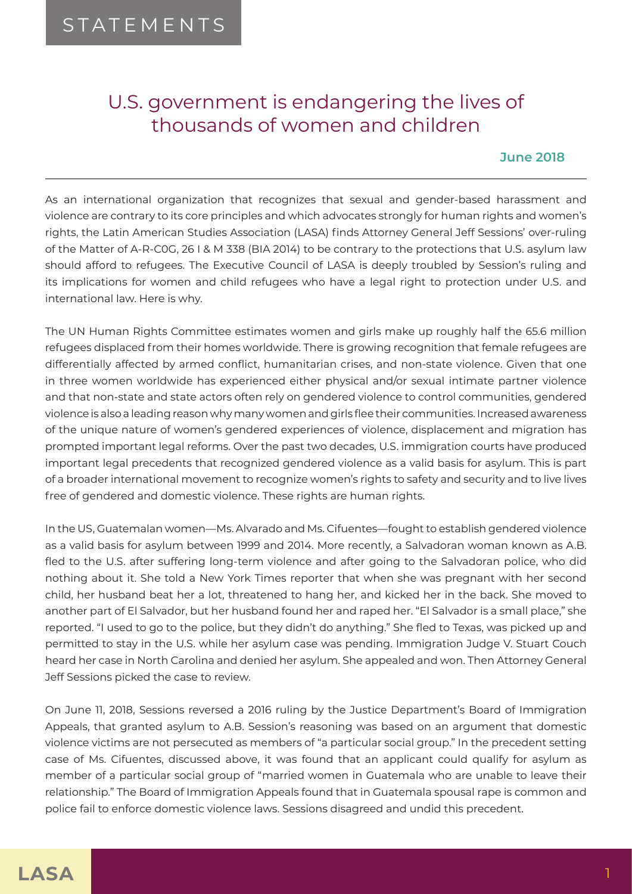## U.S. government is endangering the lives of thousands of women and children

## **June 2018**

As an international organization that recognizes that sexual and gender-based harassment and violence are contrary to its core principles and which advocates strongly for human rights and women's rights, the Latin American Studies Association (LASA) finds Attorney General Jeff Sessions' over-ruling of the Matter of A-R-C0G, 26 I & M 338 (BIA 2014) to be contrary to the protections that U.S. asylum law should afford to refugees. The Executive Council of LASA is deeply troubled by Session's ruling and its implications for women and child refugees who have a legal right to protection under U.S. and international law. Here is why.

The UN Human Rights Committee estimates women and girls make up roughly half the 65.6 million refugees displaced from their homes worldwide. There is growing recognition that female refugees are differentially affected by armed conflict, humanitarian crises, and non-state violence. Given that one in three women worldwide has experienced either physical and/or sexual intimate partner violence and that non-state and state actors often rely on gendered violence to control communities, gendered violence is also a leading reason why many women and girls flee their communities. Increased awareness of the unique nature of women's gendered experiences of violence, displacement and migration has prompted important legal reforms. Over the past two decades, U.S. immigration courts have produced important legal precedents that recognized gendered violence as a valid basis for asylum. This is part of a broader international movement to recognize women's rights to safety and security and to live lives free of gendered and domestic violence. These rights are human rights.

In the US, Guatemalan women—Ms. Alvarado and Ms. Cifuentes—fought to establish gendered violence as a valid basis for asylum between 1999 and 2014. More recently, a Salvadoran woman known as A.B. fled to the U.S. after suffering long-term violence and after going to the Salvadoran police, who did nothing about it. She told a New York Times reporter that when she was pregnant with her second child, her husband beat her a lot, threatened to hang her, and kicked her in the back. She moved to another part of El Salvador, but her husband found her and raped her. "El Salvador is a small place," she reported. "I used to go to the police, but they didn't do anything." She fled to Texas, was picked up and permitted to stay in the U.S. while her asylum case was pending. Immigration Judge V. Stuart Couch heard her case in North Carolina and denied her asylum. She appealed and won. Then Attorney General Jeff Sessions picked the case to review.

On June 11, 2018, Sessions reversed a 2016 ruling by the Justice Department's Board of Immigration Appeals, that granted asylum to A.B. Session's reasoning was based on an argument that domestic violence victims are not persecuted as members of "a particular social group." In the precedent setting case of Ms. Cifuentes, discussed above, it was found that an applicant could qualify for asylum as member of a particular social group of "married women in Guatemala who are unable to leave their relationship." The Board of Immigration Appeals found that in Guatemala spousal rape is common and police fail to enforce domestic violence laws. Sessions disagreed and undid this precedent.